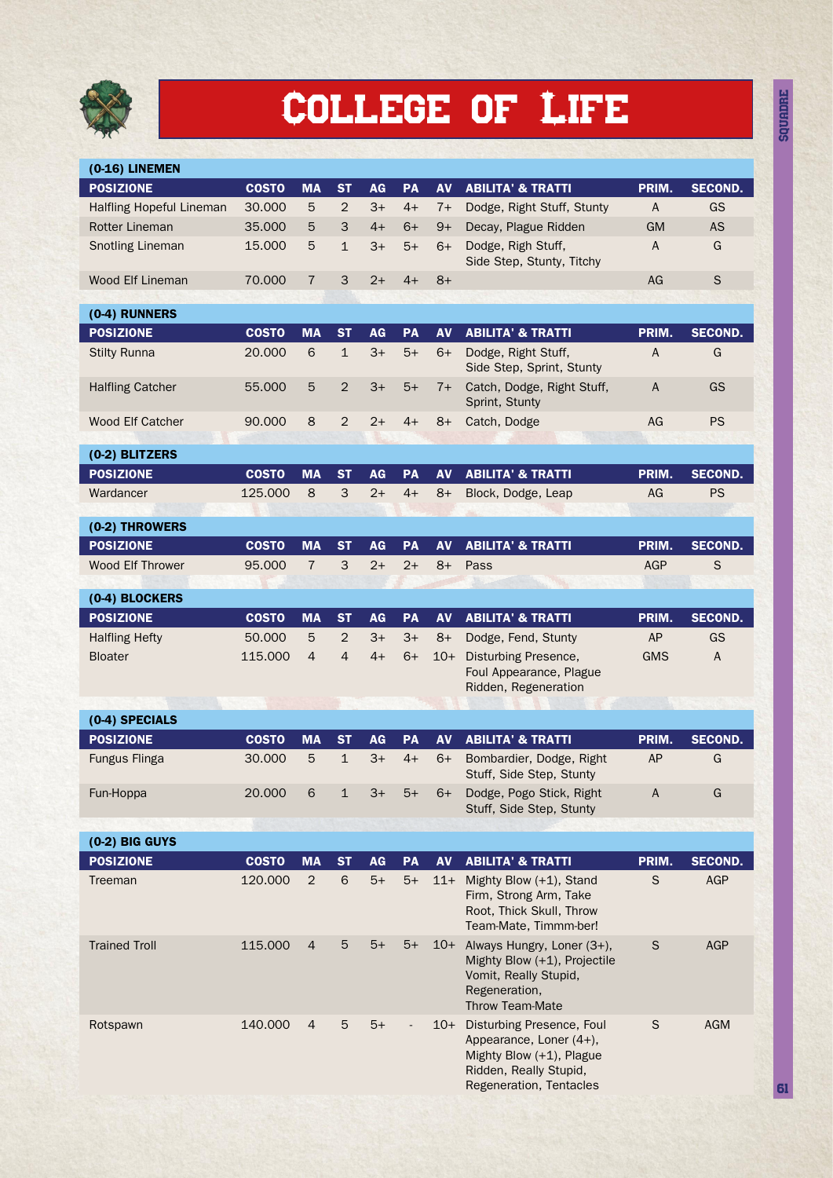

## College of Life

| (0-16) LINEMEN           |                        |                              |                           |                   |            |                   |                                                                                                                                       |             |                     |
|--------------------------|------------------------|------------------------------|---------------------------|-------------------|------------|-------------------|---------------------------------------------------------------------------------------------------------------------------------------|-------------|---------------------|
| <b>POSIZIONE</b>         | <b>COSTO</b>           | <b>MA</b>                    | <b>ST</b>                 | AG                | <b>PA</b>  | AV                | <b>ABILITA' &amp; TRATTI</b>                                                                                                          | PRIM.       | <b>SECOND.</b>      |
| Halfling Hopeful Lineman | 30.000                 | 5                            | $\overline{2}$            | $3+$              | $4+$       | $7+$              | Dodge, Right Stuff, Stunty                                                                                                            | $\sf A$     | GS                  |
| <b>Rotter Lineman</b>    | 35.000                 | 5                            | 3                         | $4+$              | $6+$       | $9+$              | Decay, Plague Ridden                                                                                                                  | <b>GM</b>   | <b>AS</b>           |
| <b>Snotling Lineman</b>  | 15.000                 | 5                            | $\mathbf 1$               | $3+$              | $5+$       | $6+$              | Dodge, Righ Stuff,<br>Side Step, Stunty, Titchy                                                                                       | A           | G                   |
| <b>Wood Elf Lineman</b>  | 70.000                 | $\overline{7}$               | 3                         | $2+$              | $4+$       | $8+$              |                                                                                                                                       | AG          | $\mathsf S$         |
|                          |                        |                              |                           |                   |            |                   |                                                                                                                                       |             |                     |
| (0-4) RUNNERS            |                        |                              |                           |                   |            |                   |                                                                                                                                       |             |                     |
| <b>POSIZIONE</b>         | <b>COSTO</b><br>20,000 | <b>MA</b><br>$6\phantom{1}6$ | <b>ST</b><br>$\mathbf{1}$ | <b>AG</b><br>$3+$ | PA<br>$5+$ | <b>AV</b><br>$6+$ | <b>ABILITA' &amp; TRATTI</b>                                                                                                          | PRIM.<br>А  | <b>SECOND.</b><br>G |
| <b>Stilty Runna</b>      |                        |                              |                           |                   |            |                   | Dodge, Right Stuff,<br>Side Step, Sprint, Stunty                                                                                      |             |                     |
| <b>Halfling Catcher</b>  | 55.000                 | 5                            | $\overline{2}$            | $3+$              | $5+$       | $7+$              | Catch, Dodge, Right Stuff,<br>Sprint, Stunty                                                                                          | A           | GS                  |
| <b>Wood Elf Catcher</b>  | 90.000                 | 8                            | $\overline{2}$            | $2+$              | $4+$       | $8+$              | Catch, Dodge                                                                                                                          | AG          | <b>PS</b>           |
| (0-2) BLITZERS           |                        |                              |                           |                   |            |                   |                                                                                                                                       |             |                     |
| <b>POSIZIONE</b>         | <b>COSTO</b>           | <b>MA</b>                    | <b>ST</b>                 | AG                | PA         | AV                | <b>ABILITA' &amp; TRATTI</b>                                                                                                          | PRIM.       | <b>SECOND.</b>      |
| Wardancer                | 125.000                | 8                            | 3                         | $2+$              | $4+$       | $8+$              | Block, Dodge, Leap                                                                                                                    | AG          | <b>PS</b>           |
|                          |                        |                              |                           |                   |            |                   |                                                                                                                                       |             |                     |
| (0-2) THROWERS           |                        |                              |                           |                   |            |                   |                                                                                                                                       |             |                     |
| <b>POSIZIONE</b>         | <b>COSTO</b>           | <b>MA</b>                    | <b>ST</b>                 | AG                | PA         | <b>AV</b>         | <b>ABILITA' &amp; TRATTI</b>                                                                                                          | PRIM.       | <b>SECOND.</b>      |
| <b>Wood Elf Thrower</b>  | 95.000                 | $\overline{7}$               | 3                         | $2+$              | $2+$       | $8+$              | Pass                                                                                                                                  | <b>AGP</b>  | $\mathsf S$         |
| (0-4) BLOCKERS           |                        |                              |                           |                   |            |                   |                                                                                                                                       |             |                     |
| <b>POSIZIONE</b>         | <b>COSTO</b>           | <b>MA</b>                    | <b>ST</b>                 | AG                | <b>PA</b>  | AV                | <b>ABILITA' &amp; TRATTI</b>                                                                                                          | PRIM.       | <b>SECOND.</b>      |
| <b>Halfling Hefty</b>    | 50.000                 | 5                            | $\overline{2}$            | $3+$              | $3+$       | $8+$              | Dodge, Fend, Stunty                                                                                                                   | <b>AP</b>   | GS                  |
| <b>Bloater</b>           | 115.000                | $\overline{4}$               | 4                         | $4+$              | $6+$       | $10+$             | Disturbing Presence,<br>Foul Appearance, Plague<br>Ridden, Regeneration                                                               | <b>GMS</b>  | A                   |
| (0-4) SPECIALS           |                        |                              |                           |                   |            |                   |                                                                                                                                       |             |                     |
| <b>POSIZIONE</b>         | <b>COSTO</b>           | <b>MA</b>                    | <b>ST</b>                 | AG                | <b>PA</b>  | AV                | <b>ABILITA' &amp; TRATTI</b>                                                                                                          | PRIM.       | <b>SECOND.</b>      |
| Fungus Flinga            | 30.000                 | 5                            | $\mathbf{1}$              | $3+$              | $4+$       | $6+$              | Bombardier, Dodge, Right<br>Stuff, Side Step, Stunty                                                                                  | AP          | G                   |
| Fun-Hoppa                | 20.000                 | 6                            | 1                         | 3+                | $5+$       | 6+                | Dodge, Pogo Stick, Right<br>Stuff, Side Step, Stunty                                                                                  | A           | G                   |
|                          |                        |                              |                           |                   |            |                   |                                                                                                                                       |             |                     |
| (0-2) BIG GUYS           |                        |                              |                           |                   |            |                   |                                                                                                                                       |             |                     |
| <b>POSIZIONE</b>         | <b>COSTO</b>           | <b>MA</b>                    | <b>ST</b>                 | AG                | <b>PA</b>  | <b>AV</b>         | <b>ABILITA' &amp; TRATTI</b>                                                                                                          | PRIM.       | <b>SECOND.</b>      |
| Treeman                  | 120.000                | $\overline{2}$               | 6                         | $5+$              | $5+$       | $11+$             | Mighty Blow (+1), Stand<br>Firm, Strong Arm, Take<br>Root, Thick Skull, Throw<br>Team-Mate, Timmm-ber!                                | $\mathsf S$ | <b>AGP</b>          |
| <b>Trained Troll</b>     | 115.000                | $\overline{4}$               | 5                         | 5+                | $5+$       | $10+$             | Always Hungry, Loner (3+),<br>Mighty Blow (+1), Projectile<br>Vomit, Really Stupid,<br>Regeneration,<br><b>Throw Team-Mate</b>        | S           | <b>AGP</b>          |
| Rotspawn                 | 140.000                | 4                            | 5                         | $5+$              |            | $10+$             | Disturbing Presence, Foul<br>Appearance, Loner (4+),<br>Mighty Blow (+1), Plague<br>Ridden, Really Stupid,<br>Regeneration, Tentacles | $\mathsf S$ | <b>AGM</b>          |

SQUADRE 61<br>1970年<br>61月

61